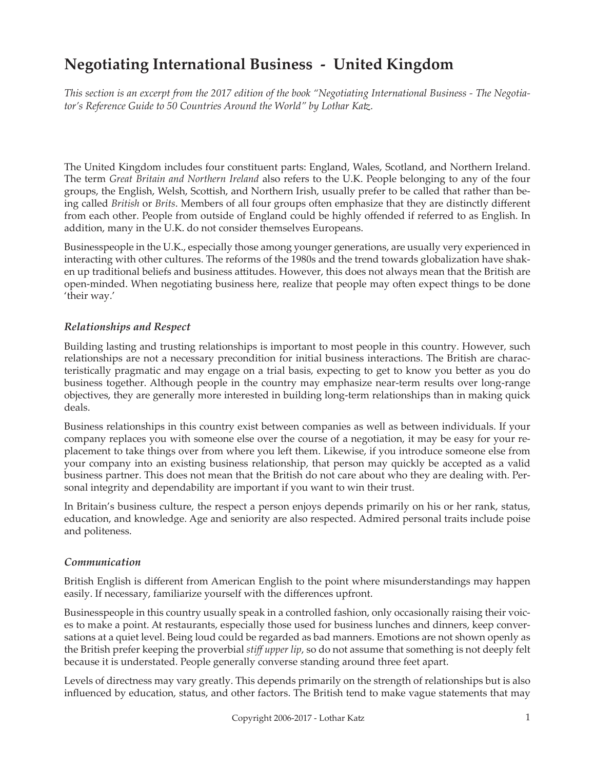# **Negotiating International Business - United Kingdom**

*This section is an excerpt from the 2017 edition of the book "Negotiating International Business - The Negotiator's Reference Guide to 50 Countries Around the World" by Lothar Katz.*

The United Kingdom includes four constituent parts: England, Wales, Scotland, and Northern Ireland. The term *Great Britain and Northern Ireland* also refers to the U.K. People belonging to any of the four groups, the English, Welsh, Scottish, and Northern Irish, usually prefer to be called that rather than being called *British* or *Brits*. Members of all four groups often emphasize that they are distinctly different from each other. People from outside of England could be highly offended if referred to as English. In addition, many in the U.K. do not consider themselves Europeans.

Businesspeople in the U.K., especially those among younger generations, are usually very experienced in interacting with other cultures. The reforms of the 1980s and the trend towards globalization have shaken up traditional beliefs and business attitudes. However, this does not always mean that the British are open-minded. When negotiating business here, realize that people may often expect things to be done 'their way.'

## *Relationships and Respect*

Building lasting and trusting relationships is important to most people in this country. However, such relationships are not a necessary precondition for initial business interactions. The British are characteristically pragmatic and may engage on a trial basis, expecting to get to know you better as you do business together. Although people in the country may emphasize near-term results over long-range objectives, they are generally more interested in building long-term relationships than in making quick deals.

Business relationships in this country exist between companies as well as between individuals. If your company replaces you with someone else over the course of a negotiation, it may be easy for your replacement to take things over from where you left them. Likewise, if you introduce someone else from your company into an existing business relationship, that person may quickly be accepted as a valid business partner. This does not mean that the British do not care about who they are dealing with. Personal integrity and dependability are important if you want to win their trust.

In Britain's business culture, the respect a person enjoys depends primarily on his or her rank, status, education, and knowledge. Age and seniority are also respected. Admired personal traits include poise and politeness.

## *Communication*

British English is different from American English to the point where misunderstandings may happen easily. If necessary, familiarize yourself with the differences upfront.

Businesspeople in this country usually speak in a controlled fashion, only occasionally raising their voices to make a point. At restaurants, especially those used for business lunches and dinners, keep conversations at a quiet level. Being loud could be regarded as bad manners. Emotions are not shown openly as the British prefer keeping the proverbial *stiff upper lip*, so do not assume that something is not deeply felt because it is understated. People generally converse standing around three feet apart.

Levels of directness may vary greatly. This depends primarily on the strength of relationships but is also influenced by education, status, and other factors. The British tend to make vague statements that may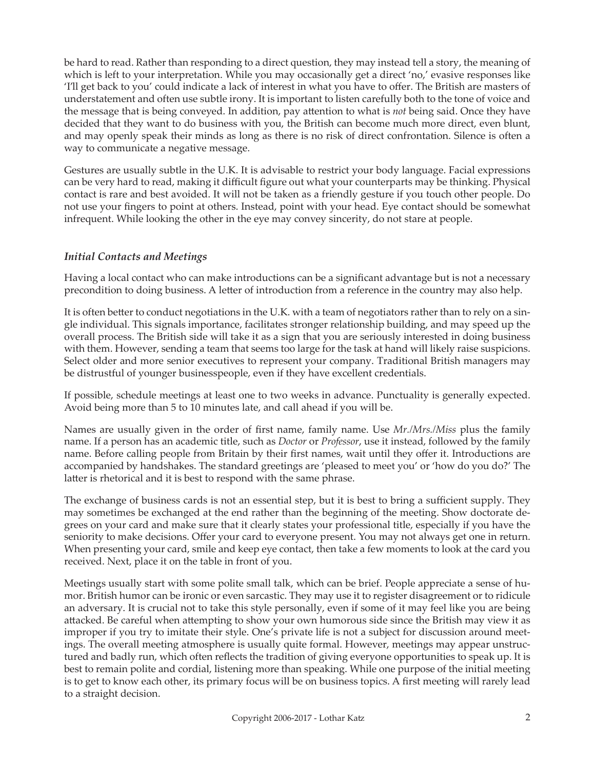be hard to read. Rather than responding to a direct question, they may instead tell a story, the meaning of which is left to your interpretation. While you may occasionally get a direct 'no,' evasive responses like 'I'll get back to you' could indicate a lack of interest in what you have to offer. The British are masters of understatement and often use subtle irony. It is important to listen carefully both to the tone of voice and the message that is being conveyed. In addition, pay attention to what is *not* being said. Once they have decided that they want to do business with you, the British can become much more direct, even blunt, and may openly speak their minds as long as there is no risk of direct confrontation. Silence is often a way to communicate a negative message.

Gestures are usually subtle in the U.K. It is advisable to restrict your body language. Facial expressions can be very hard to read, making it difficult figure out what your counterparts may be thinking. Physical contact is rare and best avoided. It will not be taken as a friendly gesture if you touch other people. Do not use your fingers to point at others. Instead, point with your head. Eye contact should be somewhat infrequent. While looking the other in the eye may convey sincerity, do not stare at people.

## *Initial Contacts and Meetings*

Having a local contact who can make introductions can be a significant advantage but is not a necessary precondition to doing business. A letter of introduction from a reference in the country may also help.

It is often better to conduct negotiations in the U.K. with a team of negotiators rather than to rely on a single individual. This signals importance, facilitates stronger relationship building, and may speed up the overall process. The British side will take it as a sign that you are seriously interested in doing business with them. However, sending a team that seems too large for the task at hand will likely raise suspicions. Select older and more senior executives to represent your company. Traditional British managers may be distrustful of younger businesspeople, even if they have excellent credentials.

If possible, schedule meetings at least one to two weeks in advance. Punctuality is generally expected. Avoid being more than 5 to 10 minutes late, and call ahead if you will be.

Names are usually given in the order of first name, family name. Use *Mr./Mrs./Miss* plus the family name. If a person has an academic title, such as *Doctor* or *Professor*, use it instead, followed by the family name. Before calling people from Britain by their first names, wait until they offer it. Introductions are accompanied by handshakes. The standard greetings are 'pleased to meet you' or 'how do you do?' The latter is rhetorical and it is best to respond with the same phrase.

The exchange of business cards is not an essential step, but it is best to bring a sufficient supply. They may sometimes be exchanged at the end rather than the beginning of the meeting. Show doctorate degrees on your card and make sure that it clearly states your professional title, especially if you have the seniority to make decisions. Offer your card to everyone present. You may not always get one in return. When presenting your card, smile and keep eye contact, then take a few moments to look at the card you received. Next, place it on the table in front of you.

Meetings usually start with some polite small talk, which can be brief. People appreciate a sense of humor. British humor can be ironic or even sarcastic. They may use it to register disagreement or to ridicule an adversary. It is crucial not to take this style personally, even if some of it may feel like you are being attacked. Be careful when attempting to show your own humorous side since the British may view it as improper if you try to imitate their style. One's private life is not a subject for discussion around meetings. The overall meeting atmosphere is usually quite formal. However, meetings may appear unstructured and badly run, which often reflects the tradition of giving everyone opportunities to speak up. It is best to remain polite and cordial, listening more than speaking. While one purpose of the initial meeting is to get to know each other, its primary focus will be on business topics. A first meeting will rarely lead to a straight decision.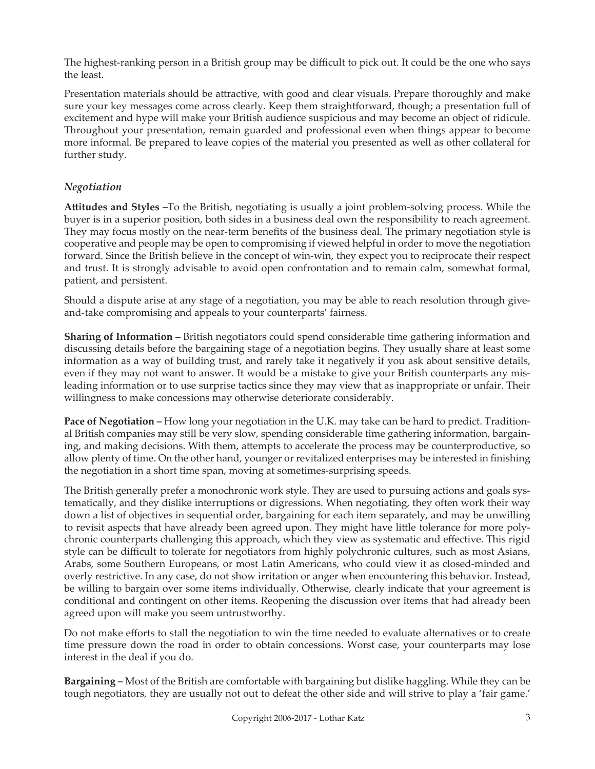The highest-ranking person in a British group may be difficult to pick out. It could be the one who says the least.

Presentation materials should be attractive, with good and clear visuals. Prepare thoroughly and make sure your key messages come across clearly. Keep them straightforward, though; a presentation full of excitement and hype will make your British audience suspicious and may become an object of ridicule. Throughout your presentation, remain guarded and professional even when things appear to become more informal. Be prepared to leave copies of the material you presented as well as other collateral for further study.

## *Negotiation*

**Attitudes and Styles –**To the British, negotiating is usually a joint problem-solving process. While the buyer is in a superior position, both sides in a business deal own the responsibility to reach agreement. They may focus mostly on the near-term benefits of the business deal. The primary negotiation style is cooperative and people may be open to compromising if viewed helpful in order to move the negotiation forward. Since the British believe in the concept of win-win, they expect you to reciprocate their respect and trust. It is strongly advisable to avoid open confrontation and to remain calm, somewhat formal, patient, and persistent.

Should a dispute arise at any stage of a negotiation, you may be able to reach resolution through giveand-take compromising and appeals to your counterparts' fairness.

**Sharing of Information –** British negotiators could spend considerable time gathering information and discussing details before the bargaining stage of a negotiation begins. They usually share at least some information as a way of building trust, and rarely take it negatively if you ask about sensitive details, even if they may not want to answer. It would be a mistake to give your British counterparts any misleading information or to use surprise tactics since they may view that as inappropriate or unfair. Their willingness to make concessions may otherwise deteriorate considerably.

**Pace of Negotiation –** How long your negotiation in the U.K. may take can be hard to predict. Traditional British companies may still be very slow, spending considerable time gathering information, bargaining, and making decisions. With them, attempts to accelerate the process may be counterproductive, so allow plenty of time. On the other hand, younger or revitalized enterprises may be interested in finishing the negotiation in a short time span, moving at sometimes-surprising speeds.

The British generally prefer a monochronic work style. They are used to pursuing actions and goals systematically, and they dislike interruptions or digressions. When negotiating, they often work their way down a list of objectives in sequential order, bargaining for each item separately, and may be unwilling to revisit aspects that have already been agreed upon. They might have little tolerance for more polychronic counterparts challenging this approach, which they view as systematic and effective. This rigid style can be difficult to tolerate for negotiators from highly polychronic cultures, such as most Asians, Arabs, some Southern Europeans, or most Latin Americans, who could view it as closed-minded and overly restrictive. In any case, do not show irritation or anger when encountering this behavior. Instead, be willing to bargain over some items individually. Otherwise, clearly indicate that your agreement is conditional and contingent on other items. Reopening the discussion over items that had already been agreed upon will make you seem untrustworthy.

Do not make efforts to stall the negotiation to win the time needed to evaluate alternatives or to create time pressure down the road in order to obtain concessions. Worst case, your counterparts may lose interest in the deal if you do.

**Bargaining –** Most of the British are comfortable with bargaining but dislike haggling. While they can be tough negotiators, they are usually not out to defeat the other side and will strive to play a 'fair game.'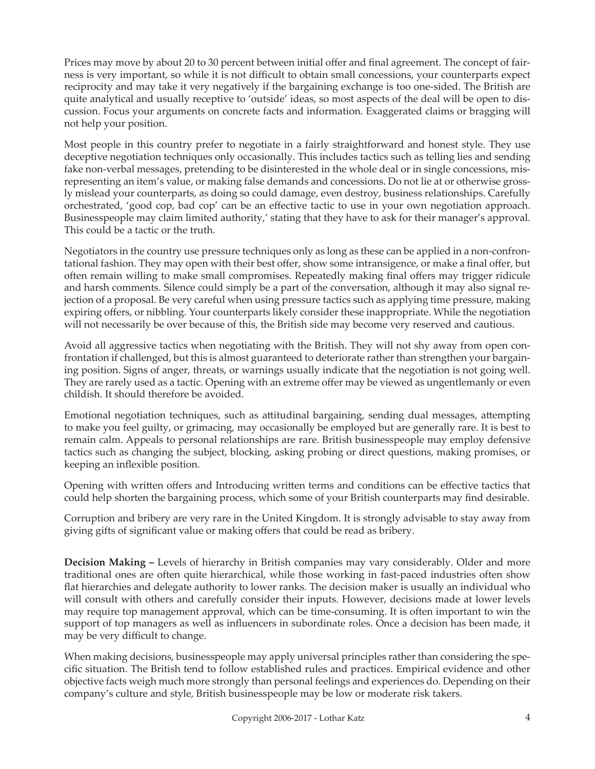Prices may move by about 20 to 30 percent between initial offer and final agreement. The concept of fairness is very important, so while it is not difficult to obtain small concessions, your counterparts expect reciprocity and may take it very negatively if the bargaining exchange is too one-sided. The British are quite analytical and usually receptive to 'outside' ideas, so most aspects of the deal will be open to discussion. Focus your arguments on concrete facts and information. Exaggerated claims or bragging will not help your position.

Most people in this country prefer to negotiate in a fairly straightforward and honest style. They use deceptive negotiation techniques only occasionally. This includes tactics such as telling lies and sending fake non-verbal messages, pretending to be disinterested in the whole deal or in single concessions, misrepresenting an item's value, or making false demands and concessions. Do not lie at or otherwise grossly mislead your counterparts, as doing so could damage, even destroy, business relationships. Carefully orchestrated, 'good cop, bad cop' can be an effective tactic to use in your own negotiation approach. Businesspeople may claim limited authority,' stating that they have to ask for their manager's approval. This could be a tactic or the truth.

Negotiators in the country use pressure techniques only as long as these can be applied in a non-confrontational fashion. They may open with their best offer, show some intransigence, or make a final offer, but often remain willing to make small compromises. Repeatedly making final offers may trigger ridicule and harsh comments. Silence could simply be a part of the conversation, although it may also signal rejection of a proposal. Be very careful when using pressure tactics such as applying time pressure, making expiring offers, or nibbling. Your counterparts likely consider these inappropriate. While the negotiation will not necessarily be over because of this, the British side may become very reserved and cautious.

Avoid all aggressive tactics when negotiating with the British. They will not shy away from open confrontation if challenged, but this is almost guaranteed to deteriorate rather than strengthen your bargaining position. Signs of anger, threats, or warnings usually indicate that the negotiation is not going well. They are rarely used as a tactic. Opening with an extreme offer may be viewed as ungentlemanly or even childish. It should therefore be avoided.

Emotional negotiation techniques, such as attitudinal bargaining, sending dual messages, attempting to make you feel guilty, or grimacing, may occasionally be employed but are generally rare. It is best to remain calm. Appeals to personal relationships are rare. British businesspeople may employ defensive tactics such as changing the subject, blocking, asking probing or direct questions, making promises, or keeping an inflexible position.

Opening with written offers and Introducing written terms and conditions can be effective tactics that could help shorten the bargaining process, which some of your British counterparts may find desirable.

Corruption and bribery are very rare in the United Kingdom. It is strongly advisable to stay away from giving gifts of significant value or making offers that could be read as bribery.

**Decision Making –** Levels of hierarchy in British companies may vary considerably. Older and more traditional ones are often quite hierarchical, while those working in fast-paced industries often show flat hierarchies and delegate authority to lower ranks. The decision maker is usually an individual who will consult with others and carefully consider their inputs. However, decisions made at lower levels may require top management approval, which can be time-consuming. It is often important to win the support of top managers as well as influencers in subordinate roles. Once a decision has been made, it may be very difficult to change.

When making decisions, businesspeople may apply universal principles rather than considering the specific situation. The British tend to follow established rules and practices. Empirical evidence and other objective facts weigh much more strongly than personal feelings and experiences do. Depending on their company's culture and style, British businesspeople may be low or moderate risk takers.